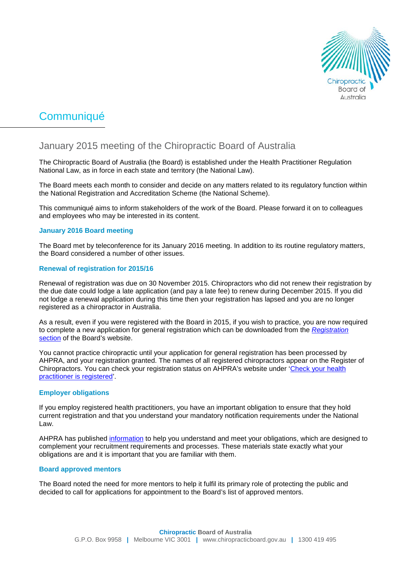

# Communiqué

# January 2015 meeting of the Chiropractic Board of Australia

The Chiropractic Board of Australia (the Board) is established under the Health Practitioner Regulation National Law, as in force in each state and territory (the National Law).

The Board meets each month to consider and decide on any matters related to its regulatory function within the National Registration and Accreditation Scheme (the National Scheme).

This communiqué aims to inform stakeholders of the work of the Board. Please forward it on to colleagues and employees who may be interested in its content.

# **January 2016 Board meeting**

The Board met by teleconference for its January 2016 meeting. In addition to its routine regulatory matters, the Board considered a number of other issues.

# **Renewal of registration for 2015/16**

Renewal of registration was due on 30 November 2015. Chiropractors who did not renew their registration by the due date could lodge a late application (and pay a late fee) to renew during December 2015. If you did not lodge a renewal application during this time then your registration has lapsed and you are no longer registered as a chiropractor in Australia.

As a result, even if you were registered with the Board in 2015, if you wish to practice, you are now required to complete a new application for general registration which can be downloaded from the *[Registration](https://www.ahpra.gov.au/News/2015-12-31-obligations-for-employers.aspx)* [section](https://www.ahpra.gov.au/News/2015-12-31-obligations-for-employers.aspx) of the Board's website.

You cannot practice chiropractic until your application for general registration has been processed by AHPRA, and your registration granted. The names of all registered chiropractors appear on the Register of Chiropractors. You can check your registration status on AHPRA's website under ['Check your health](https://www.ahpra.gov.au/)  [practitioner is registered'.](https://www.ahpra.gov.au/)

## **Employer obligations**

If you employ registered health practitioners, you have an important obligation to ensure that they hold current registration and that you understand your mandatory notification requirements under the National Law.

AHPRA has published [information](http://www.ahpra.gov.au/News/2015-12-31-obligations-for-employers.aspx%23resources) to help you understand and meet your obligations, which are designed to complement your recruitment requirements and processes. These materials state exactly what your obligations are and it is important that you are familiar with them.

## **Board approved mentors**

The Board noted the need for more mentors to help it fulfil its primary role of protecting the public and decided to call for applications for appointment to the Board's list of approved mentors.